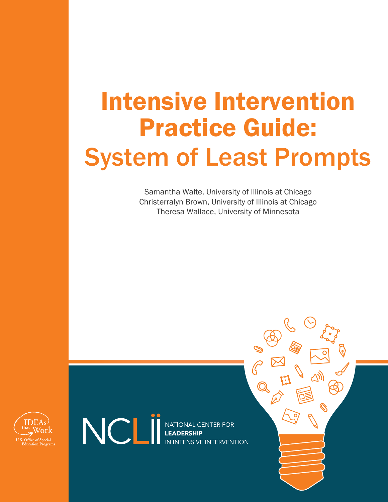# Intensive Intervention Practice Guide: System of Least Prompts

Samantha Walte, University of Illinois at Chicago Christerralyn Brown, University of Illinois at Chicago Theresa Wallace, University of Minnesota



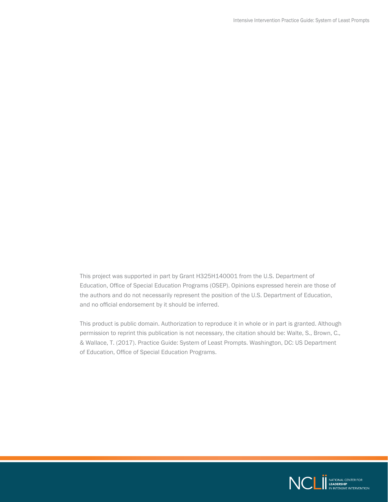This project was supported in part by Grant H325H140001 from the U.S. Department of Education, Office of Special Education Programs (OSEP). Opinions expressed herein are those of the authors and do not necessarily represent the position of the U.S. Department of Education, and no official endorsement by it should be inferred.

This product is public domain. Authorization to reproduce it in whole or in part is granted. Although permission to reprint this publication is not necessary, the citation should be: Walte, S., Brown, C., & Wallace, T. (2017). Practice Guide: System of Least Prompts. Washington, DC: US Department of Education, Office of Special Education Programs.

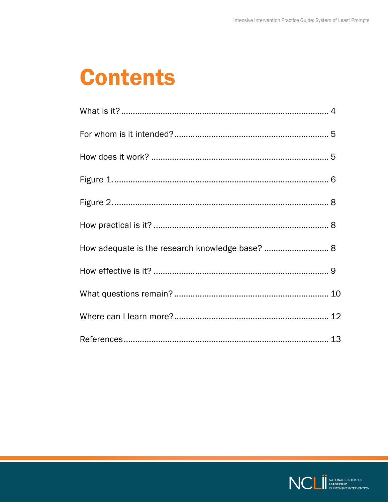## **Contents**

| How adequate is the research knowledge base?  8 |  |
|-------------------------------------------------|--|
|                                                 |  |
|                                                 |  |
|                                                 |  |
|                                                 |  |

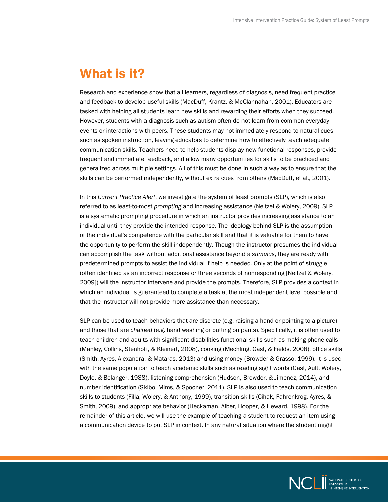### <span id="page-3-0"></span>What is it?

Research and experience show that all learners, regardless of diagnosis, need frequent practice and feedback to develop useful skills (MacDuff, Krantz, & McClannahan, 2001). Educators are tasked with helping all students learn new skills and rewarding their efforts when they succeed. However, students with a diagnosis such as autism often do not learn from common everyday events or interactions with peers. These students may not immediately respond to natural cues such as spoken instruction, leaving educators to determine how to effectively teach adequate communication skills. Teachers need to help students display new functional responses, provide frequent and immediate feedback, and allow many opportunities for skills to be practiced and generalized across multiple settings. All of this must be done in such a way as to ensure that the skills can be performed independently, without extra cues from others (MacDuff, et al., 2001).

In this *Current Practice Alert*, we investigate the system of least prompts (SLP), which is also referred to as least-to-most *prompting* and increasing assistance (Neitzel & Wolery, 2009). SLP is a systematic prompting procedure in which an instructor provides increasing assistance to an individual until they provide the intended response. The ideology behind SLP is the assumption of the individual's competence with the particular skill and that it is valuable for them to have the opportunity to perform the skill independently. Though the instructor presumes the individual can accomplish the task without additional assistance beyond a *stimulus*, they are ready with predetermined prompts to assist the individual if help is needed. Only at the point of struggle (often identified as an incorrect response or three seconds of nonresponding [Neitzel & Wolery, 2009]) will the instructor intervene and provide the prompts. Therefore, SLP provides a context in which an individual is guaranteed to complete a task at the most independent level possible and that the instructor will not provide more assistance than necessary.

SLP can be used to teach behaviors that are discrete (e.g. raising a hand or pointing to a picture) and those that are *chained* (e.g. hand washing or putting on pants). Specifically, it is often used to teach children and adults with significant disabilities functional skills such as making phone calls (Manley, Collins, Stenhoff, & Kleinert, 2008), cooking (Mechling, Gast, & Fields, 2008), office skills (Smith, Ayres, Alexandra, & Mataras, 2013) and using money (Browder & Grasso, 1999). It is used with the same population to teach academic skills such as reading sight words (Gast, Ault, Wolery, Doyle, & Belanger, 1988), listening comprehension (Hudson, Browder, & Jimenez, 2014), and number identification (Skibo, Mims, & Spooner, 2011). SLP is also used to teach communication skills to students (Filla, Wolery, & Anthony, 1999), transition skills (Cihak, Fahrenkrog, Ayres, & Smith, 2009), and appropriate behavior (Heckaman, Alber, Hooper, & Heward, 1998). For the remainder of this article, we will use the example of teaching a student to request an item using a communication device to put SLP in context. In any natural situation where the student might

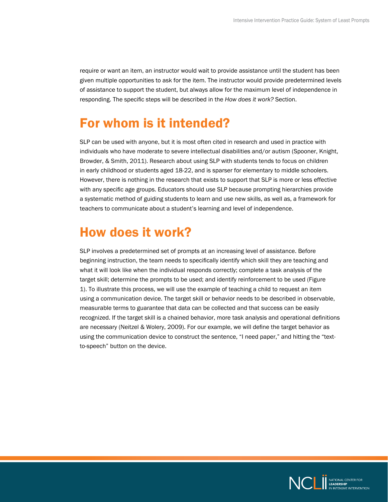<span id="page-4-0"></span>require or want an item, an instructor would wait to provide assistance until the student has been given multiple opportunities to ask for the item. The instructor would provide predetermined levels of assistance to support the student, but always allow for the maximum level of independence in responding. The specific steps will be described in the *How does it work?* Section.

### For whom is it intended?

SLP can be used with anyone, but it is most often cited in research and used in practice with individuals who have moderate to severe intellectual disabilities and/or autism (Spooner, Knight, Browder, & Smith, 2011). Research about using SLP with students tends to focus on children in early childhood or students aged 18-22, and is sparser for elementary to middle schoolers. However, there is nothing in the research that exists to support that SLP is more or less effective with any specific age groups. Educators should use SLP because prompting hierarchies provide a systematic method of guiding students to learn and use new skills, as well as, a framework for teachers to communicate about a student's learning and level of independence.

### How does it work?

SLP involves a predetermined set of prompts at an increasing level of assistance. Before beginning instruction, the team needs to specifically identify which skill they are teaching and what it will look like when the individual responds correctly; complete a task analysis of the target skill; determine the prompts to be used; and identify reinforcement to be used (Figure 1). To illustrate this process, we will use the example of teaching a child to request an item using a communication device. The target skill or behavior needs to be described in observable, measurable terms to guarantee that data can be collected and that success can be easily recognized. If the target skill is a chained behavior, more task analysis and operational definitions are necessary (Neitzel & Wolery, 2009). For our example, we will define the target behavior as using the communication device to construct the sentence, "I need paper," and hitting the "textto-speech" button on the device.

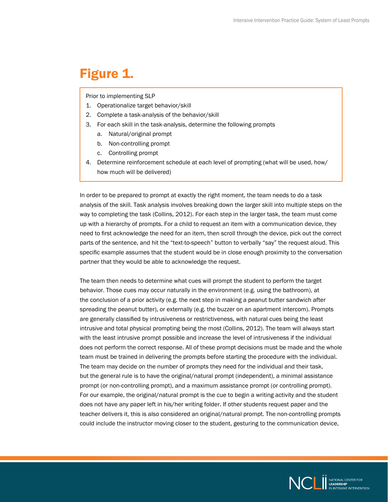### <span id="page-5-0"></span>Figure 1.

Prior to implementing SLP

- 1. Operationalize target behavior/skill
- 2. Complete a task-analysis of the behavior/skill
- 3. For each skill in the task-analysis, determine the following prompts
	- a. Natural/original prompt
	- b. Non-controlling prompt
	- c. Controlling prompt
- 4. Determine reinforcement schedule at each level of prompting (what will be used, how/ how much will be delivered)

In order to be prepared to prompt at exactly the right moment, the team needs to do a task analysis of the skill. Task analysis involves breaking down the larger skill into multiple steps on the way to completing the task (Collins, 2012). For each step in the larger task, the team must come up with a hierarchy of prompts. For a child to request an item with a communication device, they need to first acknowledge the need for an item, then scroll through the device, pick out the correct parts of the sentence, and hit the "text-to-speech" button to verbally "say" the request aloud. This specific example assumes that the student would be in close enough proximity to the conversation partner that they would be able to acknowledge the request.

The team then needs to determine what cues will prompt the student to perform the target behavior. Those cues may occur naturally in the environment (e.g. using the bathroom), at the conclusion of a prior activity (e.g. the next step in making a peanut butter sandwich after spreading the peanut butter), or externally (e.g. the buzzer on an apartment intercom). Prompts are generally classified by intrusiveness or restrictiveness, with natural cues being the least intrusive and total physical prompting being the most (Collins, 2012). The team will always start with the least intrusive prompt possible and increase the level of intrusiveness if the individual does not perform the correct response. All of these prompt decisions must be made and the whole team must be trained in delivering the prompts before starting the procedure with the individual. The team may decide on the number of prompts they need for the individual and their task, but the general rule is to have the original/natural prompt (independent), a minimal assistance prompt (or non-controlling prompt), and a maximum assistance prompt (or controlling prompt). For our example, the original/natural prompt is the cue to begin a writing activity and the student does not have any paper left in his/her writing folder. If other students request paper and the teacher delivers it, this is also considered an original/natural prompt. The non-controlling prompts could include the instructor moving closer to the student, gesturing to the communication device,

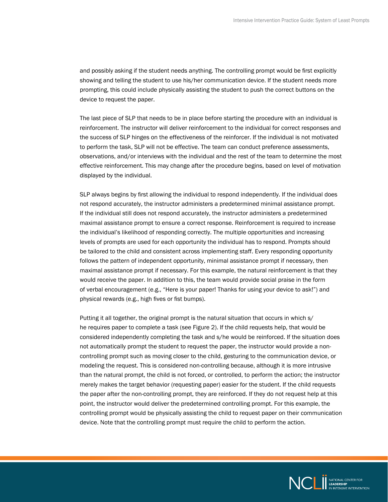and possibly asking if the student needs anything. The controlling prompt would be first explicitly showing and telling the student to use his/her communication device. If the student needs more prompting, this could include physically assisting the student to push the correct buttons on the device to request the paper.

The last piece of SLP that needs to be in place before starting the procedure with an individual is reinforcement. The instructor will deliver reinforcement to the individual for correct responses and the success of SLP hinges on the effectiveness of the reinforcer. If the individual is not motivated to perform the task, SLP will not be effective. The team can conduct preference assessments, observations, and/or interviews with the individual and the rest of the team to determine the most effective reinforcement. This may change after the procedure begins, based on level of motivation displayed by the individual.

SLP always begins by first allowing the individual to respond independently. If the individual does not respond accurately, the instructor administers a predetermined minimal assistance prompt. If the individual still does not respond accurately, the instructor administers a predetermined maximal assistance prompt to ensure a correct response. Reinforcement is required to increase the individual's likelihood of responding correctly. The multiple opportunities and increasing levels of prompts are used for each opportunity the individual has to respond. Prompts should be tailored to the child and consistent across implementing staff. Every responding opportunity follows the pattern of independent opportunity, minimal assistance prompt if necessary, then maximal assistance prompt if necessary. For this example, the natural reinforcement is that they would receive the paper. In addition to this, the team would provide social praise in the form of verbal encouragement (e.g., "Here is your paper! Thanks for using your device to ask!") and physical rewards (e.g., high fives or fist bumps).

Putting it all together, the original prompt is the natural situation that occurs in which s/ he requires paper to complete a task (see Figure 2). If the child requests help, that would be considered independently completing the task and s/he would be reinforced. If the situation does not automatically prompt the student to request the paper, the instructor would provide a noncontrolling prompt such as moving closer to the child, gesturing to the communication device, or modeling the request. This is considered non-controlling because, although it is more intrusive than the natural prompt, the child is not forced, or controlled, to perform the action; the instructor merely makes the target behavior (requesting paper) easier for the student. If the child requests the paper after the non-controlling prompt, they are reinforced. If they do not request help at this point, the instructor would deliver the predetermined controlling prompt. For this example, the controlling prompt would be physically assisting the child to request paper on their communication device. Note that the controlling prompt must require the child to perform the action.

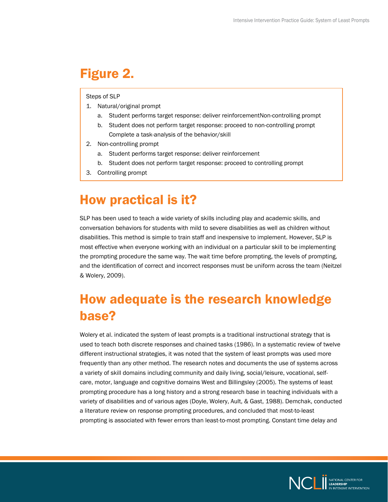### <span id="page-7-0"></span>Figure 2.

#### Steps of SLP

- 1. Natural/original prompt
	- a. Student performs target response: deliver reinforcementNon-controlling prompt
	- b. Student does not perform target response: proceed to non-controlling prompt Complete a task-analysis of the behavior/skill
- 2. Non-controlling prompt
	- a. Student performs target response: deliver reinforcement
	- b. Student does not perform target response: proceed to controlling prompt
- 3. Controlling prompt

### How practical is it?

SLP has been used to teach a wide variety of skills including play and academic skills, and conversation behaviors for students with mild to severe disabilities as well as children without disabilities. This method is simple to train staff and inexpensive to implement. However, SLP is most effective when everyone working with an individual on a particular skill to be implementing the prompting procedure the same way. The wait time before prompting, the levels of prompting, and the identification of correct and incorrect responses must be uniform across the team (Neitzel & Wolery, 2009).

### How adequate is the research knowledge base?

Wolery et al. indicated the system of least prompts is a traditional instructional strategy that is used to teach both discrete responses and chained tasks (1986). In a systematic review of twelve different instructional strategies, it was noted that the system of least prompts was used more frequently than any other method. The research notes and documents the use of systems across a variety of skill domains including community and daily living, social/leisure, vocational, selfcare, motor, language and cognitive domains West and Billingsley (2005). The systems of least prompting procedure has a long history and a strong research base in teaching individuals with a variety of disabilities and of various ages (Doyle, Wolery, Ault, & Gast, 1988). Demchak, conducted a literature review on response prompting procedures, and concluded that most-to-least prompting is associated with fewer errors than least-to-most prompting. Constant time delay and

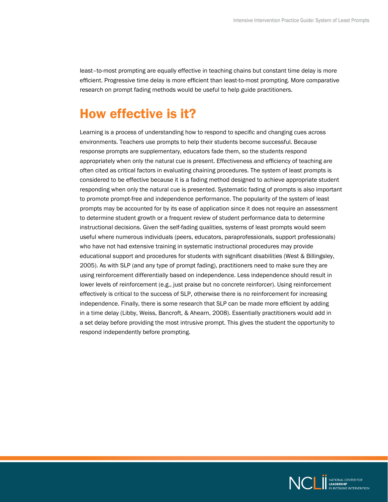<span id="page-8-0"></span>least–to-most prompting are equally effective in teaching chains but constant time delay is more efficient. Progressive time delay is more efficient than least-to-most prompting. More comparative research on prompt fading methods would be useful to help guide practitioners.

### How effective is it?

Learning is a process of understanding how to respond to specific and changing cues across environments. Teachers use prompts to help their students become successful. Because response prompts are supplementary, educators fade them, so the students respond appropriately when only the natural cue is present. Effectiveness and efficiency of teaching are often cited as critical factors in evaluating chaining procedures. The system of least prompts is considered to be effective because it is a fading method designed to achieve appropriate student responding when only the natural cue is presented. Systematic fading of prompts is also important to promote prompt-free and independence performance. The popularity of the system of least prompts may be accounted for by its ease of application since it does not require an assessment to determine student growth or a frequent review of student performance data to determine instructional decisions. Given the self-fading qualities, systems of least prompts would seem useful where numerous individuals (peers, educators, paraprofessionals, support professionals) who have not had extensive training in systematic instructional procedures may provide educational support and procedures for students with significant disabilities (West & Billingsley, 2005). As with SLP (and any type of prompt fading), practitioners need to make sure they are using reinforcement differentially based on independence. Less independence should result in lower levels of reinforcement (e.g., just praise but no concrete reinforcer). Using reinforcement effectively is critical to the success of SLP, otherwise there is no reinforcement for increasing independence. Finally, there is some research that SLP can be made more efficient by adding in a time delay (Libby, Weiss, Bancroft, & Ahearn, 2008). Essentially practitioners would add in a set delay before providing the most intrusive prompt. This gives the student the opportunity to respond independently before prompting.

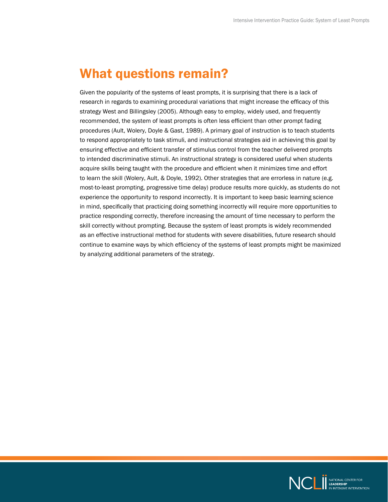### <span id="page-9-0"></span>What questions remain?

Given the popularity of the systems of least prompts, it is surprising that there is a lack of research in regards to examining procedural variations that might increase the efficacy of this strategy West and Billingsley (2005). Although easy to employ, widely used, and frequently recommended, the system of least prompts is often less efficient than other prompt fading procedures (Ault, Wolery, Doyle & Gast, 1989). A primary goal of instruction is to teach students to respond appropriately to task stimuli, and instructional strategies aid in achieving this goal by ensuring effective and efficient transfer of stimulus control from the teacher delivered prompts to intended discriminative stimuli. An instructional strategy is considered useful when students acquire skills being taught with the procedure and efficient when it minimizes time and effort to learn the skill (Wolery, Ault, & Doyle, 1992). Other strategies that are errorless in nature (e.g. most-to-least prompting, progressive time delay) produce results more quickly, as students do not experience the opportunity to respond incorrectly. It is important to keep basic learning science in mind, specifically that practicing doing something incorrectly will require more opportunities to practice responding correctly, therefore increasing the amount of time necessary to perform the skill correctly without prompting. Because the system of least prompts is widely recommended as an effective instructional method for students with severe disabilities, future research should continue to examine ways by which efficiency of the systems of least prompts might be maximized by analyzing additional parameters of the strategy.

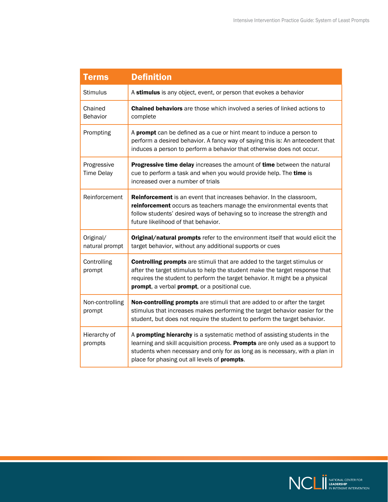| <b>Terms</b>                     | <b>Definition</b>                                                                                                                                                                                                                                                                              |
|----------------------------------|------------------------------------------------------------------------------------------------------------------------------------------------------------------------------------------------------------------------------------------------------------------------------------------------|
| <b>Stimulus</b>                  | A stimulus is any object, event, or person that evokes a behavior                                                                                                                                                                                                                              |
| Chained<br><b>Behavior</b>       | <b>Chained behaviors</b> are those which involved a series of linked actions to<br>complete                                                                                                                                                                                                    |
| Prompting                        | A <b>prompt</b> can be defined as a cue or hint meant to induce a person to<br>perform a desired behavior. A fancy way of saying this is: An antecedent that<br>induces a person to perform a behavior that otherwise does not occur.                                                          |
| Progressive<br><b>Time Delay</b> | Progressive time delay increases the amount of time between the natural<br>cue to perform a task and when you would provide help. The time is<br>increased over a number of trials                                                                                                             |
| Reinforcement                    | <b>Reinforcement</b> is an event that increases behavior. In the classroom,<br>reinforcement occurs as teachers manage the environmental events that<br>follow students' desired ways of behaving so to increase the strength and<br>future likelihood of that behavior.                       |
| Original/<br>natural prompt      | Original/natural prompts refer to the environment itself that would elicit the<br>target behavior, without any additional supports or cues                                                                                                                                                     |
| Controlling<br>prompt            | <b>Controlling prompts</b> are stimuli that are added to the target stimulus or<br>after the target stimulus to help the student make the target response that<br>requires the student to perform the target behavior. It might be a physical<br>prompt, a verbal prompt, or a positional cue. |
| Non-controlling<br>prompt        | Non-controlling prompts are stimuli that are added to or after the target<br>stimulus that increases makes performing the target behavior easier for the<br>student, but does not require the student to perform the target behavior.                                                          |
| Hierarchy of<br>prompts          | A prompting hierarchy is a systematic method of assisting students in the<br>learning and skill acquisition process. Prompts are only used as a support to<br>students when necessary and only for as long as is necessary, with a plan in<br>place for phasing out all levels of prompts.     |

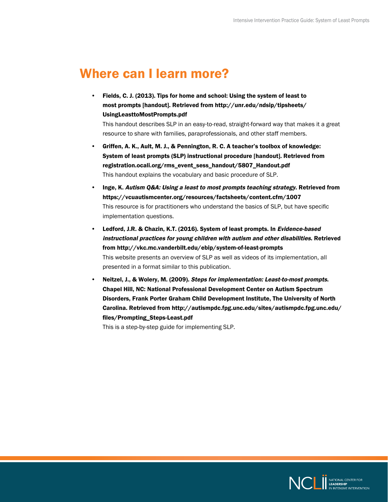### <span id="page-11-0"></span>Where can I learn more?

• Fields, C. J. (2013). Tips for home and school: Using the system of least to most prompts [handout]. Retrieved from [http://unr.edu/ndsip/tipsheets/](http://unr.edu/ndsip/tipsheets/UsingLeasttoMostPrompts.pdf) [UsingLeasttoMostPrompts.pdf](http://unr.edu/ndsip/tipsheets/UsingLeasttoMostPrompts.pdf)

This handout describes SLP in an easy-to-read, straight-forward way that makes it a great resource to share with families, paraprofessionals, and other staff members.

- Griffen, A. K., Ault, M. J., & Pennington, R. C. A teacher's toolbox of knowledge: System of least prompts (SLP) instructional procedure [handout]. Retrieved from [registration.ocali.org/rms\\_event\\_sess\\_handout/5807\\_Handout.pdf](http://registration.ocali.org/rms_event_sess_handout/5807_Handout.pdf) This handout explains the vocabulary and basic procedure of SLP.
- Inge, K. Autism Q&A: Using a least to most prompts teaching strategy. Retrieved from <https://vcuautismcenter.org/resources/factsheets/content.cfm/1007> This resource is for practitioners who understand the basics of SLP, but have specific implementation questions.
- Ledford, J.R. & Chazin, K.T. (2016). System of least prompts. In Evidence-based instructional practices for young children with autism and other disabilities. Retrieved from [http://vkc.mc.vanderbilt.edu/ebip/system-](http://vkc.mc.vanderbilt.edu/ebip/system)of-least-prompts This website presents an overview of SLP as well as videos of its implementation, all presented in a format similar to this publication.
- Neitzel, J., & Wolery, M. (2009). Steps for implementation: Least-to-most prompts. Chapel Hill, NC: National Professional Development Center on Autism Spectrum Disorders, Frank Porter Graham Child Development Institute, The University of North Carolina. Retrieved from [http://autismpdc.fpg.unc.edu/sites/autismpdc.fpg.unc.edu/](http://autismpdc.fpg.unc.edu/sites/autismpdc.fpg.unc.edu/files/Prompting_Steps-Least.pdf) [files/Prompting\\_Steps-Least.pdf](http://autismpdc.fpg.unc.edu/sites/autismpdc.fpg.unc.edu/files/Prompting_Steps-Least.pdf)

This is a step-by-step guide for implementing SLP.

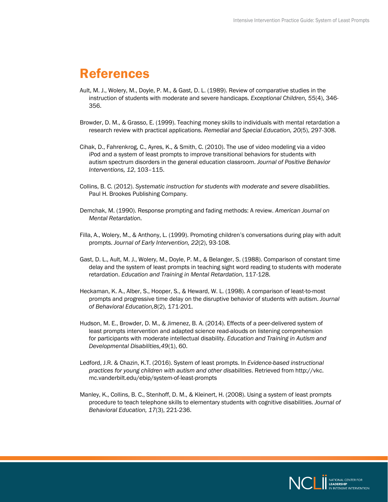### <span id="page-12-0"></span>References

- Ault, M. J., Wolery, M., Doyle, P. M., & Gast, D. L. (1989). Review of comparative studies in the instruction of students with moderate and severe handicaps. *Exceptional Children, 55*(4), 346- 356.
- Browder, D. M., & Grasso, E. (1999). Teaching money skills to individuals with mental retardation a research review with practical applications. *Remedial and Special Education, 20*(5), 297-308.
- Cihak, D., Fahrenkrog, C., Ayres, K., & Smith, C. (2010). The use of video modeling via a video iPod and a system of least prompts to improve transitional behaviors for students with autism spectrum disorders in the general education classroom. *Journal of Positive Behavior Interventions, 12*, 103–115.
- Collins, B. C. (2012). *Systematic instruction for students with moderate and severe disabilities*. Paul H. Brookes Publishing Company.
- Demchak, M. (1990). Response prompting and fading methods: A review. *American Journal on Mental Retardatio*n.
- Filla, A., Wolery, M., & Anthony, L. (1999). Promoting children's conversations during play with adult prompts. *Journal of Early Intervention, 22*(2), 93-108.
- Gast, D. L., Ault, M. J., Wolery, M., Doyle, P. M., & Belanger, S. (1988). Comparison of constant time delay and the system of least prompts in teaching sight word reading to students with moderate retardation. *Education and Training in Mental Retardation*, 117-128.
- Heckaman, K. A., Alber, S., Hooper, S., & Heward, W. L. (1998). A comparison of least-to-most prompts and progressive time delay on the disruptive behavior of students with autism. *Journal of Behavioral Education,8*(2), 171-201.
- Hudson, M. E., Browder, D. M., & Jimenez, B. A. (2014). Effects of a peer-delivered system of least prompts intervention and adapted science read-alouds on listening comprehension for participants with moderate intellectual disability. *Education and Training in Autism and Developmental Disabilities,49*(1), 60.
- Ledford, J.R. & Chazin, K.T. (2016). System of least prompts. In *Evidence-based instructional practices for young children with autism and other disabilities*. Retrieved from [http://vkc.](http://vkc.mc.vanderbilt.edu/ebip/system) [mc.vanderbilt.edu/ebip/system](http://vkc.mc.vanderbilt.edu/ebip/system)-of-least-prompts
- Manley, K., Collins, B. C., Stenhoff, D. M., & Kleinert, H. (2008). Using a system of least prompts procedure to teach telephone skills to elementary students with cognitive disabilities. *Journal of Behavioral Education, 17*(3), 221-236.